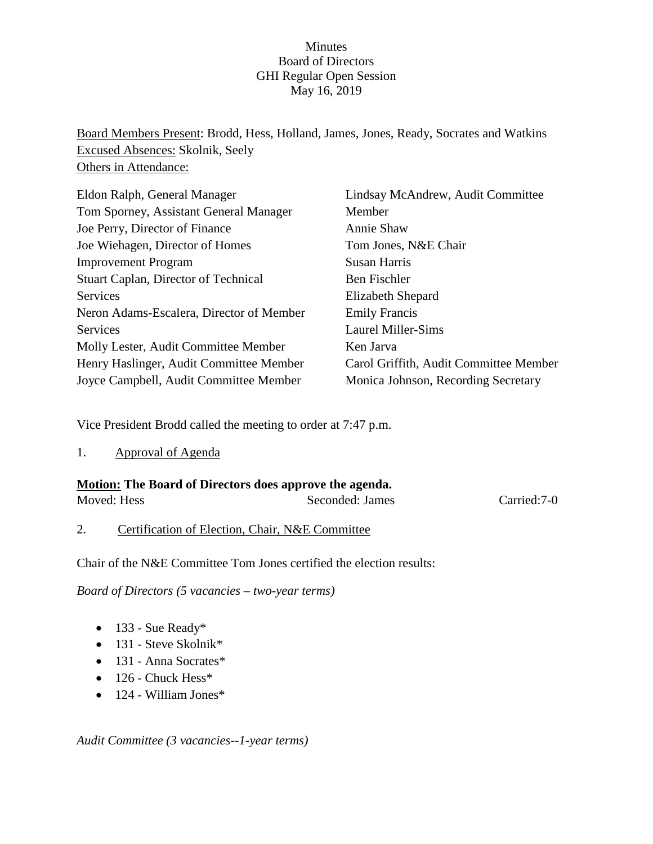## Minutes Board of Directors GHI Regular Open Session May 16, 2019

Board Members Present: Brodd, Hess, Holland, James, Jones, Ready, Socrates and Watkins Excused Absences: Skolnik, Seely Others in Attendance:

| Eldon Ralph, General Manager                | Lindsay McAndrew, Audit Committee      |
|---------------------------------------------|----------------------------------------|
| Tom Sporney, Assistant General Manager      | Member                                 |
| Joe Perry, Director of Finance              | Annie Shaw                             |
| Joe Wiehagen, Director of Homes             | Tom Jones, N&E Chair                   |
| <b>Improvement Program</b>                  | Susan Harris                           |
| <b>Stuart Caplan, Director of Technical</b> | Ben Fischler                           |
| Services                                    | Elizabeth Shepard                      |
| Neron Adams-Escalera, Director of Member    | <b>Emily Francis</b>                   |
| Services                                    | <b>Laurel Miller-Sims</b>              |
| Molly Lester, Audit Committee Member        | Ken Jarva                              |
| Henry Haslinger, Audit Committee Member     | Carol Griffith, Audit Committee Member |
| Joyce Campbell, Audit Committee Member      | Monica Johnson, Recording Secretary    |

Vice President Brodd called the meeting to order at 7:47 p.m.

1. Approval of Agenda

| Motion: The Board of Directors does approve the agenda. |                 |             |
|---------------------------------------------------------|-----------------|-------------|
| Moved: Hess                                             | Seconded: James | Carried:7-0 |

2. Certification of Election, Chair, N&E Committee

Chair of the N&E Committee Tom Jones certified the election results:

*Board of Directors (5 vacancies – two-year terms)*

- 133 Sue Ready\*
- 131 Steve Skolnik\*
- 131 Anna Socrates\*
- 126 Chuck Hess\*
- 124 William Jones\*

*Audit Committee (3 vacancies--1-year terms)*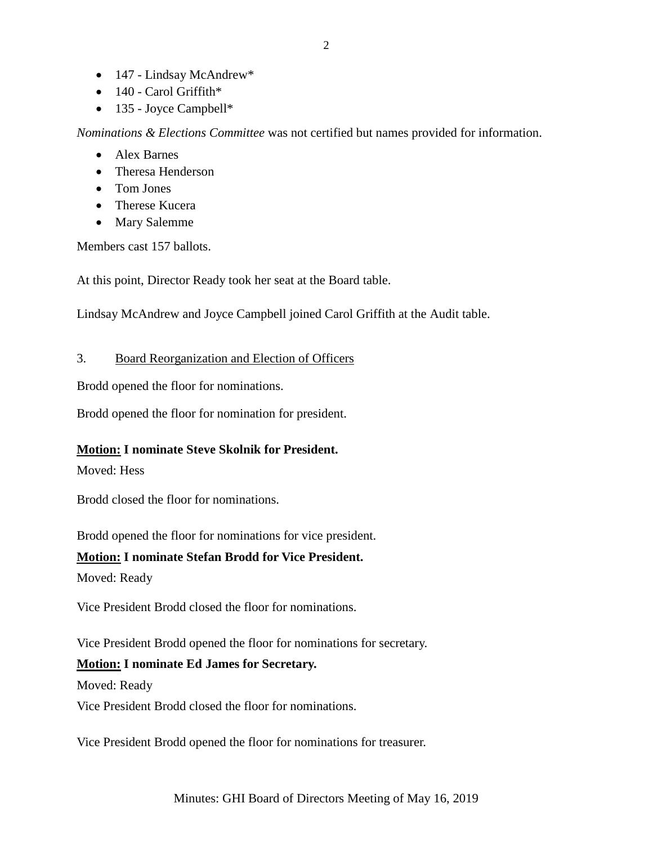- 147 Lindsay McAndrew\*
- $\bullet$  140 Carol Griffith\*
- 135 Joyce Campbell\*

*Nominations & Elections Committee* was not certified but names provided for information.

- Alex Barnes
- Theresa Henderson
- Tom Jones
- Therese Kucera
- Mary Salemme

Members cast 157 ballots.

At this point, Director Ready took her seat at the Board table.

Lindsay McAndrew and Joyce Campbell joined Carol Griffith at the Audit table.

### 3. Board Reorganization and Election of Officers

Brodd opened the floor for nominations.

Brodd opened the floor for nomination for president.

## **Motion: I nominate Steve Skolnik for President.**

Moved: Hess

Brodd closed the floor for nominations.

Brodd opened the floor for nominations for vice president.

## **Motion: I nominate Stefan Brodd for Vice President.**

Moved: Ready

Vice President Brodd closed the floor for nominations.

Vice President Brodd opened the floor for nominations for secretary.

## **Motion: I nominate Ed James for Secretary.**

Moved: Ready

Vice President Brodd closed the floor for nominations.

Vice President Brodd opened the floor for nominations for treasurer.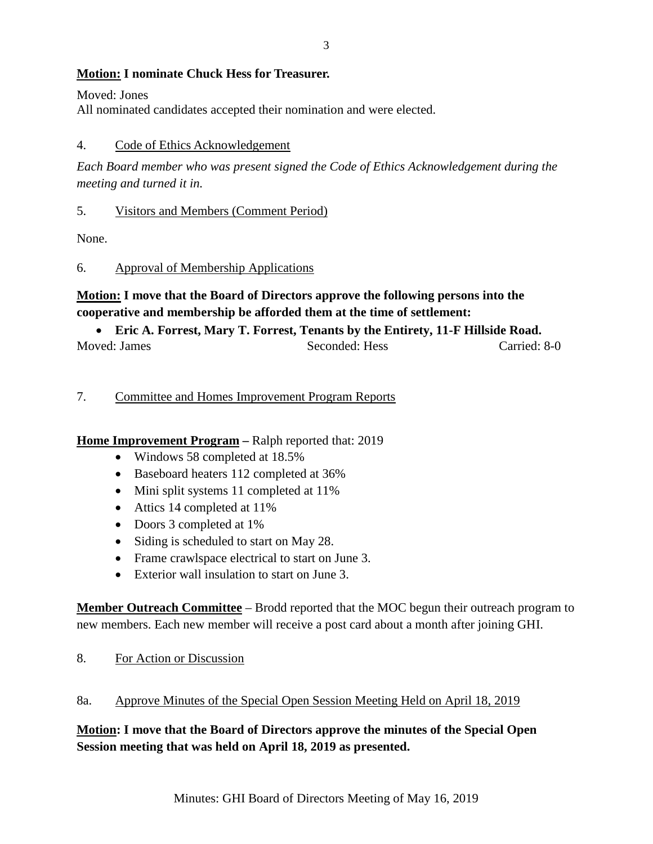### **Motion: I nominate Chuck Hess for Treasurer.**

Moved: Jones

All nominated candidates accepted their nomination and were elected.

### 4. Code of Ethics Acknowledgement

*Each Board member who was present signed the Code of Ethics Acknowledgement during the meeting and turned it in.*

#### 5. Visitors and Members (Comment Period)

None.

### 6. Approval of Membership Applications

# **Motion: I move that the Board of Directors approve the following persons into the cooperative and membership be afforded them at the time of settlement:**

## • **Eric A. Forrest, Mary T. Forrest, Tenants by the Entirety, 11-F Hillside Road.** Moved: James Seconded: Hess Carried: 8-0

### 7. Committee and Homes Improvement Program Reports

## **Home Improvement Program –** Ralph reported that: 2019

- Windows 58 completed at 18.5%
- Baseboard heaters 112 completed at 36%
- Mini split systems 11 completed at 11%
- Attics 14 completed at 11%
- Doors 3 completed at 1%
- Siding is scheduled to start on May 28.
- Frame crawlspace electrical to start on June 3.
- Exterior wall insulation to start on June 3.

**Member Outreach Committee** – Brodd reported that the MOC begun their outreach program to new members. Each new member will receive a post card about a month after joining GHI.

8. For Action or Discussion

## 8a. Approve Minutes of the Special Open Session Meeting Held on April 18, 2019

**Motion: I move that the Board of Directors approve the minutes of the Special Open Session meeting that was held on April 18, 2019 as presented.**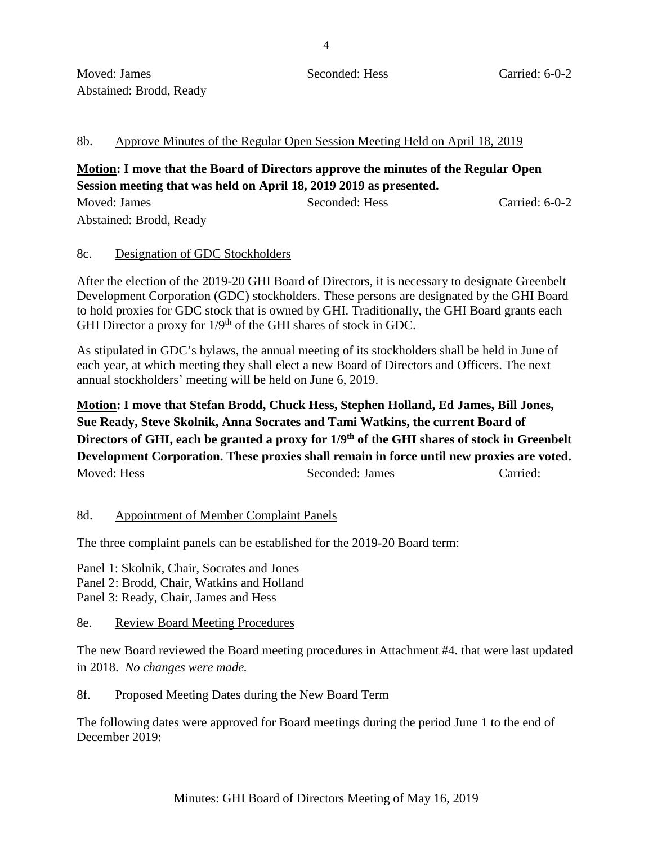#### 8b. Approve Minutes of the Regular Open Session Meeting Held on April 18, 2019

## **Motion: I move that the Board of Directors approve the minutes of the Regular Open Session meeting that was held on April 18, 2019 2019 as presented.**

| Moved: James            | Seconded: Hess | Carried: 6-0-2 |
|-------------------------|----------------|----------------|
| Abstained: Brodd, Ready |                |                |

#### 8c. Designation of GDC Stockholders

After the election of the 2019-20 GHI Board of Directors, it is necessary to designate Greenbelt Development Corporation (GDC) stockholders. These persons are designated by the GHI Board to hold proxies for GDC stock that is owned by GHI. Traditionally, the GHI Board grants each GHI Director a proxy for  $1/9<sup>th</sup>$  of the GHI shares of stock in GDC.

As stipulated in GDC's bylaws, the annual meeting of its stockholders shall be held in June of each year, at which meeting they shall elect a new Board of Directors and Officers. The next annual stockholders' meeting will be held on June 6, 2019.

**Motion: I move that Stefan Brodd, Chuck Hess, Stephen Holland, Ed James, Bill Jones, Sue Ready, Steve Skolnik, Anna Socrates and Tami Watkins, the current Board of Directors of GHI, each be granted a proxy for 1/9th of the GHI shares of stock in Greenbelt Development Corporation. These proxies shall remain in force until new proxies are voted.** Moved: Hess Seconded: James Carried:

#### 8d. Appointment of Member Complaint Panels

The three complaint panels can be established for the 2019-20 Board term:

Panel 1: Skolnik, Chair, Socrates and Jones Panel 2: Brodd, Chair, Watkins and Holland Panel 3: Ready, Chair, James and Hess

8e. Review Board Meeting Procedures

The new Board reviewed the Board meeting procedures in Attachment #4. that were last updated in 2018. *No changes were made.*

#### 8f. Proposed Meeting Dates during the New Board Term

The following dates were approved for Board meetings during the period June 1 to the end of December 2019: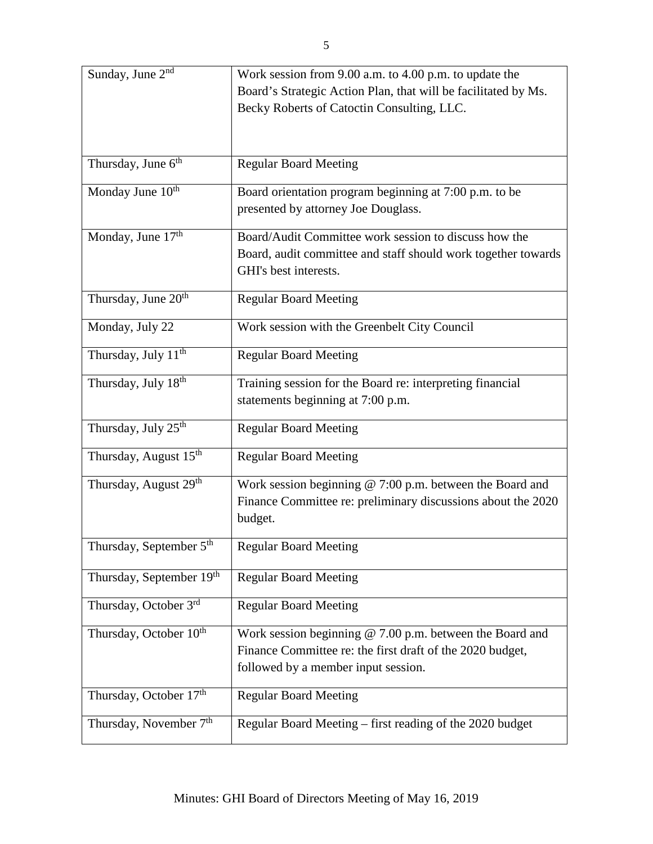| Board's Strategic Action Plan, that will be facilitated by Ms.<br>Becky Roberts of Catoctin Consulting, LLC.<br>Thursday, June $6th$<br><b>Regular Board Meeting</b><br>Monday June 10 <sup>th</sup><br>Board orientation program beginning at 7:00 p.m. to be<br>presented by attorney Joe Douglass.<br>Monday, June $17th$<br>Board/Audit Committee work session to discuss how the<br>Board, audit committee and staff should work together towards<br>GHI's best interests.<br>Thursday, June 20 <sup>th</sup><br><b>Regular Board Meeting</b><br>Monday, July 22<br>Work session with the Greenbelt City Council<br>Thursday, July 11 <sup>th</sup><br><b>Regular Board Meeting</b><br>Thursday, July 18th<br>Training session for the Board re: interpreting financial<br>statements beginning at 7:00 p.m.<br>Thursday, July 25 <sup>th</sup><br><b>Regular Board Meeting</b><br>Thursday, August 15 <sup>th</sup><br><b>Regular Board Meeting</b><br>Thursday, August 29th<br>Work session beginning @ 7:00 p.m. between the Board and<br>Finance Committee re: preliminary discussions about the 2020<br>budget. | Sunday, June 2 <sup>nd</sup> | Work session from 9.00 a.m. to 4.00 p.m. to update the |
|---------------------------------------------------------------------------------------------------------------------------------------------------------------------------------------------------------------------------------------------------------------------------------------------------------------------------------------------------------------------------------------------------------------------------------------------------------------------------------------------------------------------------------------------------------------------------------------------------------------------------------------------------------------------------------------------------------------------------------------------------------------------------------------------------------------------------------------------------------------------------------------------------------------------------------------------------------------------------------------------------------------------------------------------------------------------------------------------------------------------------|------------------------------|--------------------------------------------------------|
|                                                                                                                                                                                                                                                                                                                                                                                                                                                                                                                                                                                                                                                                                                                                                                                                                                                                                                                                                                                                                                                                                                                           |                              |                                                        |
|                                                                                                                                                                                                                                                                                                                                                                                                                                                                                                                                                                                                                                                                                                                                                                                                                                                                                                                                                                                                                                                                                                                           |                              |                                                        |
|                                                                                                                                                                                                                                                                                                                                                                                                                                                                                                                                                                                                                                                                                                                                                                                                                                                                                                                                                                                                                                                                                                                           |                              |                                                        |
|                                                                                                                                                                                                                                                                                                                                                                                                                                                                                                                                                                                                                                                                                                                                                                                                                                                                                                                                                                                                                                                                                                                           |                              |                                                        |
|                                                                                                                                                                                                                                                                                                                                                                                                                                                                                                                                                                                                                                                                                                                                                                                                                                                                                                                                                                                                                                                                                                                           |                              |                                                        |
|                                                                                                                                                                                                                                                                                                                                                                                                                                                                                                                                                                                                                                                                                                                                                                                                                                                                                                                                                                                                                                                                                                                           |                              |                                                        |
|                                                                                                                                                                                                                                                                                                                                                                                                                                                                                                                                                                                                                                                                                                                                                                                                                                                                                                                                                                                                                                                                                                                           |                              |                                                        |
|                                                                                                                                                                                                                                                                                                                                                                                                                                                                                                                                                                                                                                                                                                                                                                                                                                                                                                                                                                                                                                                                                                                           |                              |                                                        |
|                                                                                                                                                                                                                                                                                                                                                                                                                                                                                                                                                                                                                                                                                                                                                                                                                                                                                                                                                                                                                                                                                                                           |                              |                                                        |
|                                                                                                                                                                                                                                                                                                                                                                                                                                                                                                                                                                                                                                                                                                                                                                                                                                                                                                                                                                                                                                                                                                                           |                              |                                                        |
|                                                                                                                                                                                                                                                                                                                                                                                                                                                                                                                                                                                                                                                                                                                                                                                                                                                                                                                                                                                                                                                                                                                           |                              |                                                        |
|                                                                                                                                                                                                                                                                                                                                                                                                                                                                                                                                                                                                                                                                                                                                                                                                                                                                                                                                                                                                                                                                                                                           |                              |                                                        |
|                                                                                                                                                                                                                                                                                                                                                                                                                                                                                                                                                                                                                                                                                                                                                                                                                                                                                                                                                                                                                                                                                                                           |                              |                                                        |
|                                                                                                                                                                                                                                                                                                                                                                                                                                                                                                                                                                                                                                                                                                                                                                                                                                                                                                                                                                                                                                                                                                                           |                              |                                                        |
|                                                                                                                                                                                                                                                                                                                                                                                                                                                                                                                                                                                                                                                                                                                                                                                                                                                                                                                                                                                                                                                                                                                           |                              |                                                        |
|                                                                                                                                                                                                                                                                                                                                                                                                                                                                                                                                                                                                                                                                                                                                                                                                                                                                                                                                                                                                                                                                                                                           |                              |                                                        |
|                                                                                                                                                                                                                                                                                                                                                                                                                                                                                                                                                                                                                                                                                                                                                                                                                                                                                                                                                                                                                                                                                                                           |                              |                                                        |
|                                                                                                                                                                                                                                                                                                                                                                                                                                                                                                                                                                                                                                                                                                                                                                                                                                                                                                                                                                                                                                                                                                                           |                              |                                                        |
|                                                                                                                                                                                                                                                                                                                                                                                                                                                                                                                                                                                                                                                                                                                                                                                                                                                                                                                                                                                                                                                                                                                           |                              |                                                        |
|                                                                                                                                                                                                                                                                                                                                                                                                                                                                                                                                                                                                                                                                                                                                                                                                                                                                                                                                                                                                                                                                                                                           |                              |                                                        |
|                                                                                                                                                                                                                                                                                                                                                                                                                                                                                                                                                                                                                                                                                                                                                                                                                                                                                                                                                                                                                                                                                                                           |                              |                                                        |
|                                                                                                                                                                                                                                                                                                                                                                                                                                                                                                                                                                                                                                                                                                                                                                                                                                                                                                                                                                                                                                                                                                                           |                              |                                                        |
|                                                                                                                                                                                                                                                                                                                                                                                                                                                                                                                                                                                                                                                                                                                                                                                                                                                                                                                                                                                                                                                                                                                           |                              |                                                        |
|                                                                                                                                                                                                                                                                                                                                                                                                                                                                                                                                                                                                                                                                                                                                                                                                                                                                                                                                                                                                                                                                                                                           |                              |                                                        |
|                                                                                                                                                                                                                                                                                                                                                                                                                                                                                                                                                                                                                                                                                                                                                                                                                                                                                                                                                                                                                                                                                                                           |                              |                                                        |
|                                                                                                                                                                                                                                                                                                                                                                                                                                                                                                                                                                                                                                                                                                                                                                                                                                                                                                                                                                                                                                                                                                                           |                              |                                                        |
|                                                                                                                                                                                                                                                                                                                                                                                                                                                                                                                                                                                                                                                                                                                                                                                                                                                                                                                                                                                                                                                                                                                           |                              |                                                        |
| Thursday, September 5 <sup>th</sup><br><b>Regular Board Meeting</b>                                                                                                                                                                                                                                                                                                                                                                                                                                                                                                                                                                                                                                                                                                                                                                                                                                                                                                                                                                                                                                                       |                              |                                                        |
| Thursday, September 19th<br><b>Regular Board Meeting</b>                                                                                                                                                                                                                                                                                                                                                                                                                                                                                                                                                                                                                                                                                                                                                                                                                                                                                                                                                                                                                                                                  |                              |                                                        |
|                                                                                                                                                                                                                                                                                                                                                                                                                                                                                                                                                                                                                                                                                                                                                                                                                                                                                                                                                                                                                                                                                                                           |                              |                                                        |
| Thursday, October 3rd<br><b>Regular Board Meeting</b>                                                                                                                                                                                                                                                                                                                                                                                                                                                                                                                                                                                                                                                                                                                                                                                                                                                                                                                                                                                                                                                                     |                              |                                                        |
|                                                                                                                                                                                                                                                                                                                                                                                                                                                                                                                                                                                                                                                                                                                                                                                                                                                                                                                                                                                                                                                                                                                           |                              |                                                        |
| Thursday, October 10 <sup>th</sup><br>Work session beginning $@ 7.00 p.m.$ between the Board and                                                                                                                                                                                                                                                                                                                                                                                                                                                                                                                                                                                                                                                                                                                                                                                                                                                                                                                                                                                                                          |                              |                                                        |
| Finance Committee re: the first draft of the 2020 budget,                                                                                                                                                                                                                                                                                                                                                                                                                                                                                                                                                                                                                                                                                                                                                                                                                                                                                                                                                                                                                                                                 |                              |                                                        |
| followed by a member input session.                                                                                                                                                                                                                                                                                                                                                                                                                                                                                                                                                                                                                                                                                                                                                                                                                                                                                                                                                                                                                                                                                       |                              |                                                        |
| Thursday, October 17th<br><b>Regular Board Meeting</b>                                                                                                                                                                                                                                                                                                                                                                                                                                                                                                                                                                                                                                                                                                                                                                                                                                                                                                                                                                                                                                                                    |                              |                                                        |
|                                                                                                                                                                                                                                                                                                                                                                                                                                                                                                                                                                                                                                                                                                                                                                                                                                                                                                                                                                                                                                                                                                                           |                              |                                                        |
| Thursday, November 7 <sup>th</sup><br>Regular Board Meeting – first reading of the 2020 budget                                                                                                                                                                                                                                                                                                                                                                                                                                                                                                                                                                                                                                                                                                                                                                                                                                                                                                                                                                                                                            |                              |                                                        |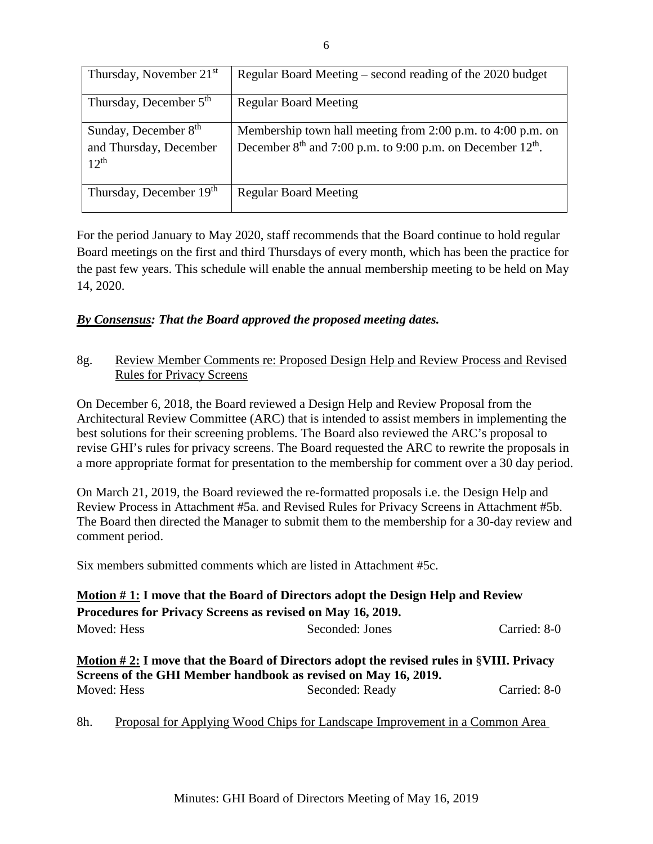| Thursday, November $21st$                                   | Regular Board Meeting – second reading of the 2020 budget                                                                               |
|-------------------------------------------------------------|-----------------------------------------------------------------------------------------------------------------------------------------|
| Thursday, December 5 <sup>th</sup>                          | <b>Regular Board Meeting</b>                                                                                                            |
| Sunday, December 8th<br>and Thursday, December<br>$12^{th}$ | Membership town hall meeting from 2:00 p.m. to 4:00 p.m. on<br>December $8th$ and 7:00 p.m. to 9:00 p.m. on December 12 <sup>th</sup> . |
| Thursday, December 19th                                     | <b>Regular Board Meeting</b>                                                                                                            |

For the period January to May 2020, staff recommends that the Board continue to hold regular Board meetings on the first and third Thursdays of every month, which has been the practice for the past few years. This schedule will enable the annual membership meeting to be held on May 14, 2020.

## *By Consensus: That the Board approved the proposed meeting dates.*

## 8g. Review Member Comments re: Proposed Design Help and Review Process and Revised Rules for Privacy Screens

On December 6, 2018, the Board reviewed a Design Help and Review Proposal from the Architectural Review Committee (ARC) that is intended to assist members in implementing the best solutions for their screening problems. The Board also reviewed the ARC's proposal to revise GHI's rules for privacy screens. The Board requested the ARC to rewrite the proposals in a more appropriate format for presentation to the membership for comment over a 30 day period.

On March 21, 2019, the Board reviewed the re-formatted proposals i.e. the Design Help and Review Process in Attachment #5a. and Revised Rules for Privacy Screens in Attachment #5b. The Board then directed the Manager to submit them to the membership for a 30-day review and comment period.

Six members submitted comments which are listed in Attachment #5c.

|                                                                                                                                                                                                                            | Motion #1: I move that the Board of Directors adopt the Design Help and Review |              |  |
|----------------------------------------------------------------------------------------------------------------------------------------------------------------------------------------------------------------------------|--------------------------------------------------------------------------------|--------------|--|
| Procedures for Privacy Screens as revised on May 16, 2019.                                                                                                                                                                 |                                                                                |              |  |
| Moved: Hess                                                                                                                                                                                                                | Seconded: Jones                                                                | Carried: 8-0 |  |
| <u>Motion #2:</u> I move that the Board of Directors adopt the revised rules in $\gamma$ VIII. Privacy<br>Screens of the GHI Member handbook as revised on May 16, 2019.<br>Seconded: Ready<br>Carried: 8-0<br>Moved: Hess |                                                                                |              |  |

8h. Proposal for Applying Wood Chips for Landscape Improvement in a Common Area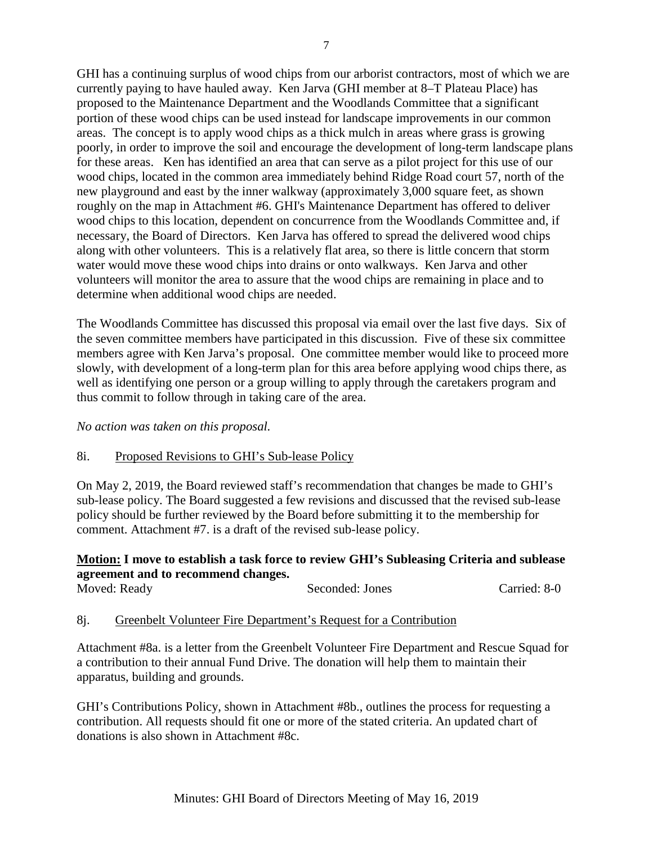GHI has a continuing surplus of wood chips from our arborist contractors, most of which we are currently paying to have hauled away. Ken Jarva (GHI member at 8–T Plateau Place) has proposed to the Maintenance Department and the Woodlands Committee that a significant portion of these wood chips can be used instead for landscape improvements in our common areas. The concept is to apply wood chips as a thick mulch in areas where grass is growing poorly, in order to improve the soil and encourage the development of long-term landscape plans for these areas. Ken has identified an area that can serve as a pilot project for this use of our wood chips, located in the common area immediately behind Ridge Road court 57, north of the new playground and east by the inner walkway (approximately 3,000 square feet, as shown roughly on the map in Attachment #6. GHI's Maintenance Department has offered to deliver wood chips to this location, dependent on concurrence from the Woodlands Committee and, if necessary, the Board of Directors. Ken Jarva has offered to spread the delivered wood chips along with other volunteers. This is a relatively flat area, so there is little concern that storm water would move these wood chips into drains or onto walkways. Ken Jarva and other volunteers will monitor the area to assure that the wood chips are remaining in place and to determine when additional wood chips are needed.

The Woodlands Committee has discussed this proposal via email over the last five days. Six of the seven committee members have participated in this discussion. Five of these six committee members agree with Ken Jarva's proposal. One committee member would like to proceed more slowly, with development of a long-term plan for this area before applying wood chips there, as well as identifying one person or a group willing to apply through the caretakers program and thus commit to follow through in taking care of the area.

*No action was taken on this proposal.*

#### 8i. Proposed Revisions to GHI's Sub-lease Policy

On May 2, 2019, the Board reviewed staff's recommendation that changes be made to GHI's sub-lease policy. The Board suggested a few revisions and discussed that the revised sub-lease policy should be further reviewed by the Board before submitting it to the membership for comment. Attachment #7. is a draft of the revised sub-lease policy.

## **Motion: I move to establish a task force to review GHI's Subleasing Criteria and sublease agreement and to recommend changes.**

| Moved: Ready | Seconded: Jones | Carried: 8-0 |
|--------------|-----------------|--------------|
|              |                 |              |

#### 8j. Greenbelt Volunteer Fire Department's Request for a Contribution

Attachment #8a. is a letter from the Greenbelt Volunteer Fire Department and Rescue Squad for a contribution to their annual Fund Drive. The donation will help them to maintain their apparatus, building and grounds.

GHI's Contributions Policy, shown in Attachment #8b., outlines the process for requesting a contribution. All requests should fit one or more of the stated criteria. An updated chart of donations is also shown in Attachment #8c.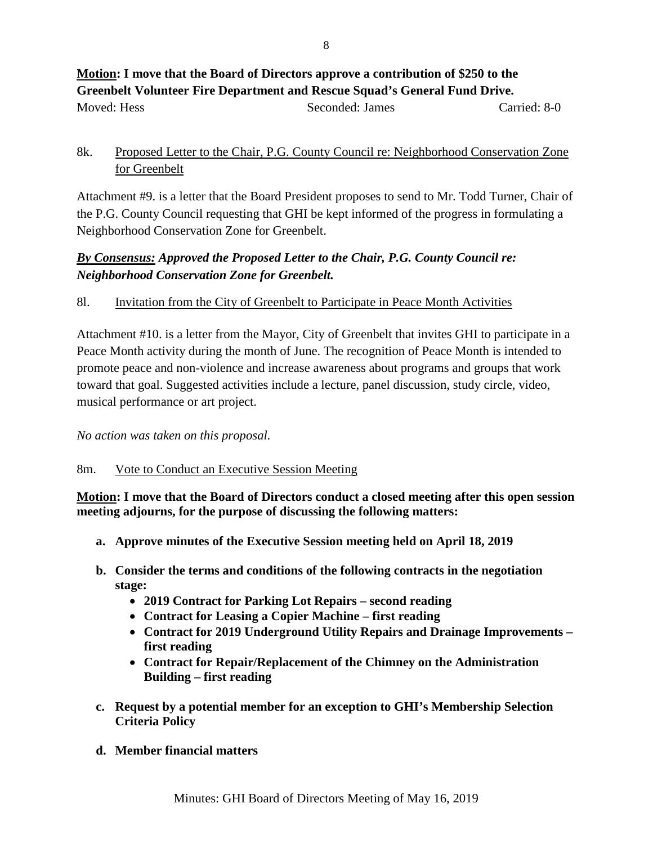## **Motion: I move that the Board of Directors approve a contribution of \$250 to the Greenbelt Volunteer Fire Department and Rescue Squad's General Fund Drive.** Moved: Hess Seconded: James Carried: 8-0

## 8k. Proposed Letter to the Chair, P.G. County Council re: Neighborhood Conservation Zone for Greenbelt

Attachment #9. is a letter that the Board President proposes to send to Mr. Todd Turner, Chair of the P.G. County Council requesting that GHI be kept informed of the progress in formulating a Neighborhood Conservation Zone for Greenbelt.

# *By Consensus: Approved the Proposed Letter to the Chair, P.G. County Council re: Neighborhood Conservation Zone for Greenbelt.*

## 8l. Invitation from the City of Greenbelt to Participate in Peace Month Activities

Attachment #10. is a letter from the Mayor, City of Greenbelt that invites GHI to participate in a Peace Month activity during the month of June. The recognition of Peace Month is intended to promote peace and non-violence and increase awareness about programs and groups that work toward that goal. Suggested activities include a lecture, panel discussion, study circle, video, musical performance or art project.

*No action was taken on this proposal.*

## 8m. Vote to Conduct an Executive Session Meeting

**Motion: I move that the Board of Directors conduct a closed meeting after this open session meeting adjourns, for the purpose of discussing the following matters:**

- **a. Approve minutes of the Executive Session meeting held on April 18, 2019**
- **b. Consider the terms and conditions of the following contracts in the negotiation stage:**
	- **2019 Contract for Parking Lot Repairs – second reading**
	- **Contract for Leasing a Copier Machine – first reading**
	- **Contract for 2019 Underground Utility Repairs and Drainage Improvements – first reading**
	- **Contract for Repair/Replacement of the Chimney on the Administration Building – first reading**
- **c. Request by a potential member for an exception to GHI's Membership Selection Criteria Policy**
- **d. Member financial matters**